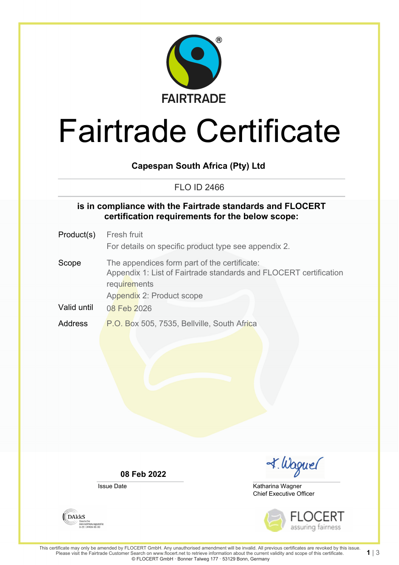

# Fairtrade Certificate

### **Capespan South Africa (Pty) Ltd**

### FLO ID 2466

### **is in compliance with the Fairtrade standards and FLOCERT certification requirements for the below scope:**

- Product(s) Fresh fruit For details on specific product type see appendix 2. Scope The appendices form part of the certificate:
- Appendix 1: List of Fairtrade standards and FLOCERT certification **requirements** Appendix 2: Product scope
- Valid until 08 Feb 2026
- Address P.O. Box 505, 7535, Bellville, South Africa

**08 Feb 2022**

Issue Date



Chief Executive Officer Katharina Wagner



1| $3$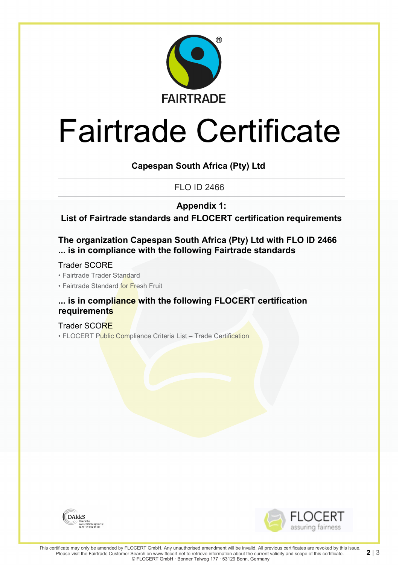

# Fairtrade Certificate

**Capespan South Africa (Pty) Ltd**

FLO ID 2466

**Appendix 1:**

**List of Fairtrade standards and FLOCERT certification requirements**

**The organization Capespan South Africa (Pty) Ltd with FLO ID 2466 ... is in compliance with the following Fairtrade standards**

Trader SCORE

• Fairtrade Trader Standard

• Fairtrade Standard for Fresh Fruit

### **... is in compliance with the following FLOCERT certification requirements**

Trader SCORE • FLOCERT Public Compliance Criteria List - Trade Certification